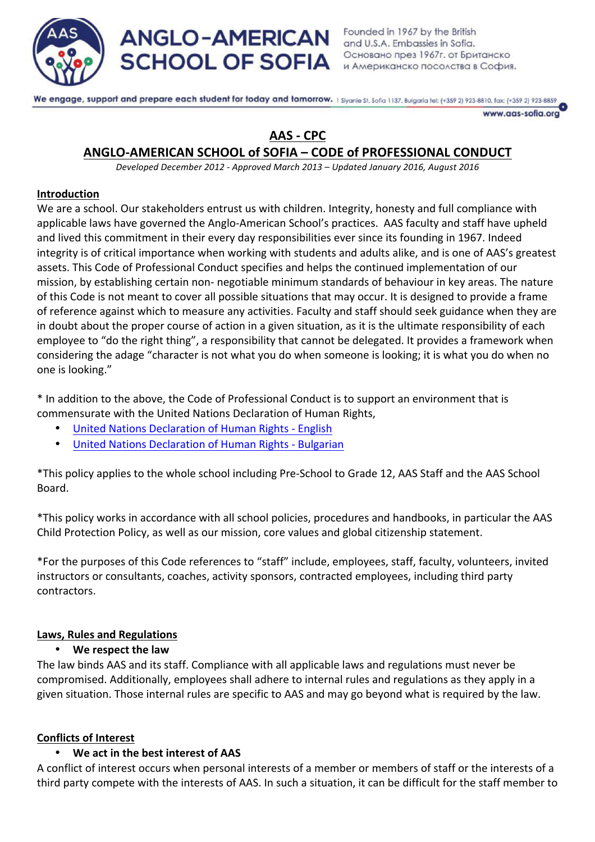

We engage, support and prepare each student for today and tomorrow. 1 Siyanie St. Sofia 1137, Bulgaria tel: (+359 2) 923-8810, fax: (+359 2) 923-8859

www.aas-sofia.org

# **AAS - CPC**

# **ANGLO-AMERICAN SCHOOL of SOFIA – CODE of PROFESSIONAL CONDUCT**

*Developed December 2012 - Approved March 2013 – Updated January 2016, August 2016*

# **Introduction**

We are a school. Our stakeholders entrust us with children. Integrity, honesty and full compliance with applicable laws have governed the Anglo-American School's practices. AAS faculty and staff have upheld and lived this commitment in their every day responsibilities ever since its founding in 1967. Indeed integrity is of critical importance when working with students and adults alike, and is one of AAS's greatest assets. This Code of Professional Conduct specifies and helps the continued implementation of our mission, by establishing certain non- negotiable minimum standards of behaviour in key areas. The nature of this Code is not meant to cover all possible situations that may occur. It is designed to provide a frame of reference against which to measure any activities. Faculty and staff should seek guidance when they are in doubt about the proper course of action in a given situation, as it is the ultimate responsibility of each employee to "do the right thing", a responsibility that cannot be delegated. It provides a framework when considering the adage "character is not what you do when someone is looking; it is what you do when no one is looking."

\* In addition to the above, the Code of Professional Conduct is to support an environment that is commensurate with the United Nations Declaration of Human Rights,

- United Nations Declaration of Human Rights English
- United Nations Declaration of Human Rights Bulgarian

\*This policy applies to the whole school including Pre-School to Grade 12, AAS Staff and the AAS School Board.

\*This policy works in accordance with all school policies, procedures and handbooks, in particular the AAS Child Protection Policy, as well as our mission, core values and global citizenship statement.

\*For the purposes of this Code references to "staff" include, employees, staff, faculty, volunteers, invited instructors or consultants, coaches, activity sponsors, contracted employees, including third party contractors.

# **Laws, Rules and Regulations**

# • **We respect the law**

The law binds AAS and its staff. Compliance with all applicable laws and regulations must never be compromised. Additionally, employees shall adhere to internal rules and regulations as they apply in a given situation. Those internal rules are specific to AAS and may go beyond what is required by the law.

# **Conflicts of Interest**

# We act in the best interest of AAS

A conflict of interest occurs when personal interests of a member or members of staff or the interests of a third party compete with the interests of AAS. In such a situation, it can be difficult for the staff member to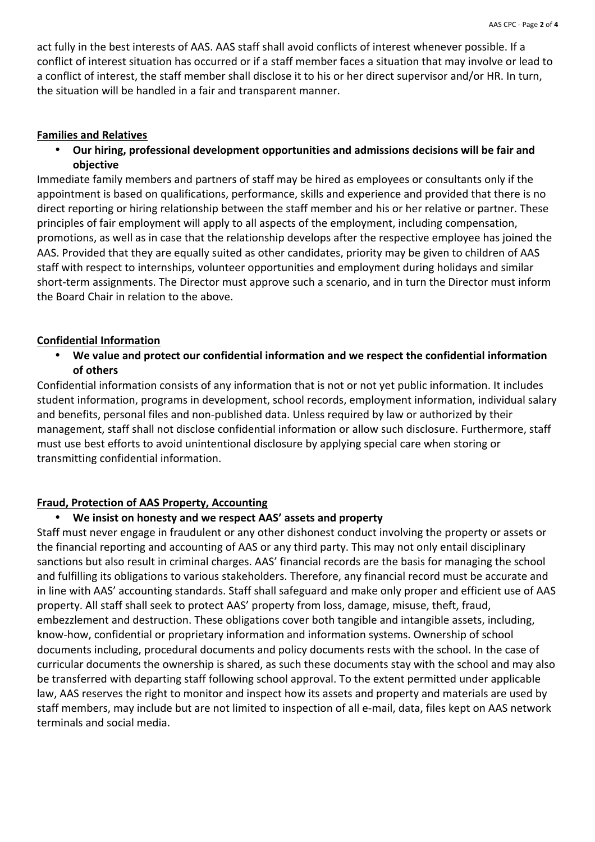act fully in the best interests of AAS. AAS staff shall avoid conflicts of interest whenever possible. If a conflict of interest situation has occurred or if a staff member faces a situation that may involve or lead to a conflict of interest, the staff member shall disclose it to his or her direct supervisor and/or HR. In turn, the situation will be handled in a fair and transparent manner.

#### **Families and Relatives**

• **Our hiring, professional development opportunities and admissions decisions will be fair and objective**

Immediate family members and partners of staff may be hired as employees or consultants only if the appointment is based on qualifications, performance, skills and experience and provided that there is no direct reporting or hiring relationship between the staff member and his or her relative or partner. These principles of fair employment will apply to all aspects of the employment, including compensation, promotions, as well as in case that the relationship develops after the respective employee has joined the AAS. Provided that they are equally suited as other candidates, priority may be given to children of AAS staff with respect to internships, volunteer opportunities and employment during holidays and similar short-term assignments. The Director must approve such a scenario, and in turn the Director must inform the Board Chair in relation to the above.

#### **Confidential Information**

• We value and protect our confidential information and we respect the confidential information **of others**

Confidential information consists of any information that is not or not yet public information. It includes student information, programs in development, school records, employment information, individual salary and benefits, personal files and non-published data. Unless required by law or authorized by their management, staff shall not disclose confidential information or allow such disclosure. Furthermore, staff must use best efforts to avoid unintentional disclosure by applying special care when storing or transmitting confidential information.

#### **Fraud, Protection of AAS Property, Accounting**

#### • We insist on honesty and we respect AAS' assets and property

Staff must never engage in fraudulent or any other dishonest conduct involving the property or assets or the financial reporting and accounting of AAS or any third party. This may not only entail disciplinary sanctions but also result in criminal charges. AAS' financial records are the basis for managing the school and fulfilling its obligations to various stakeholders. Therefore, any financial record must be accurate and in line with AAS' accounting standards. Staff shall safeguard and make only proper and efficient use of AAS property. All staff shall seek to protect AAS' property from loss, damage, misuse, theft, fraud, embezzlement and destruction. These obligations cover both tangible and intangible assets, including, know-how, confidential or proprietary information and information systems. Ownership of school documents including, procedural documents and policy documents rests with the school. In the case of curricular documents the ownership is shared, as such these documents stay with the school and may also be transferred with departing staff following school approval. To the extent permitted under applicable law, AAS reserves the right to monitor and inspect how its assets and property and materials are used by staff members, may include but are not limited to inspection of all e-mail, data, files kept on AAS network terminals and social media.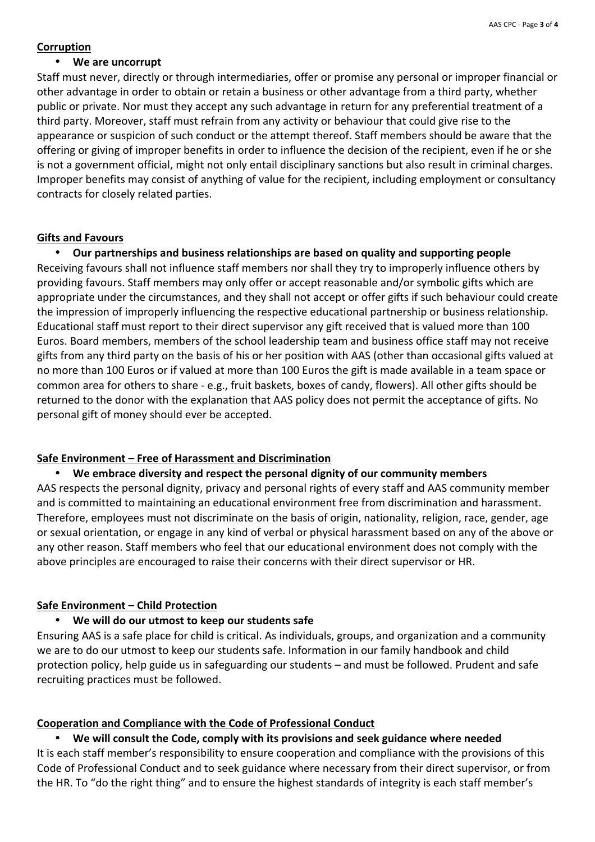#### **Corruption**

#### • We are uncorrupt

Staff must never, directly or through intermediaries, offer or promise any personal or improper financial or other advantage in order to obtain or retain a business or other advantage from a third party, whether public or private. Nor must they accept any such advantage in return for any preferential treatment of a third party. Moreover, staff must refrain from any activity or behaviour that could give rise to the appearance or suspicion of such conduct or the attempt thereof. Staff members should be aware that the offering or giving of improper benefits in order to influence the decision of the recipient, even if he or she is not a government official, might not only entail disciplinary sanctions but also result in criminal charges. Improper benefits may consist of anything of value for the recipient, including employment or consultancy contracts for closely related parties.

#### **Gifts and Favours**

• Our partnerships and business relationships are based on quality and supporting people Receiving favours shall not influence staff members nor shall they try to improperly influence others by providing favours. Staff members may only offer or accept reasonable and/or symbolic gifts which are appropriate under the circumstances, and they shall not accept or offer gifts if such behaviour could create the impression of improperly influencing the respective educational partnership or business relationship. Educational staff must report to their direct supervisor any gift received that is valued more than 100 Euros. Board members, members of the school leadership team and business office staff may not receive gifts from any third party on the basis of his or her position with AAS (other than occasional gifts valued at no more than 100 Euros or if valued at more than 100 Euros the gift is made available in a team space or common area for others to share - e.g., fruit baskets, boxes of candy, flowers). All other gifts should be returned to the donor with the explanation that AAS policy does not permit the acceptance of gifts. No personal gift of money should ever be accepted.

# **Safe Environment – Free of Harassment and Discrimination**

#### • We embrace diversity and respect the personal dignity of our community members

AAS respects the personal dignity, privacy and personal rights of every staff and AAS community member and is committed to maintaining an educational environment free from discrimination and harassment. Therefore, employees must not discriminate on the basis of origin, nationality, religion, race, gender, age or sexual orientation, or engage in any kind of verbal or physical harassment based on any of the above or any other reason. Staff members who feel that our educational environment does not comply with the above principles are encouraged to raise their concerns with their direct supervisor or HR.

#### **Safe Environment – Child Protection**

#### • **We will do our utmost to keep our students safe**

Ensuring AAS is a safe place for child is critical. As individuals, groups, and organization and a community we are to do our utmost to keep our students safe. Information in our family handbook and child protection policy, help guide us in safeguarding our students – and must be followed. Prudent and safe recruiting practices must be followed.

#### **Cooperation and Compliance with the Code of Professional Conduct**

#### • We will consult the Code, comply with its provisions and seek guidance where needed

It is each staff member's responsibility to ensure cooperation and compliance with the provisions of this Code of Professional Conduct and to seek guidance where necessary from their direct supervisor, or from the HR. To "do the right thing" and to ensure the highest standards of integrity is each staff member's